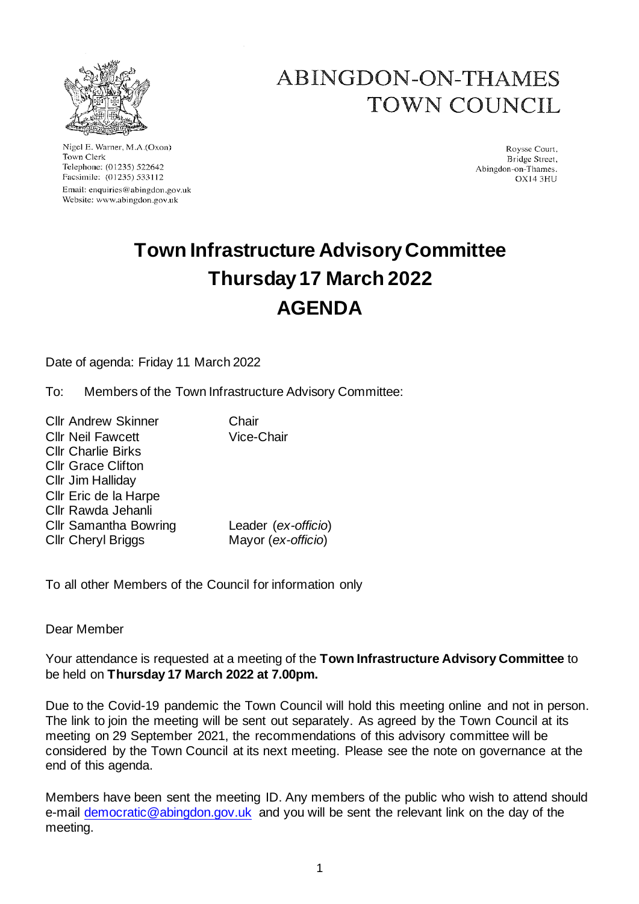

Nigel E. Warner, M.A.(Oxon) Town Clerk Telephone: (01235) 522642 Facsimile: (01235) 533112 Email: enquiries@abingdon.gov.uk Website: www.abingdon.gov.uk

# ABINGDON-ON-THAMES TOWN COUNCIL

Roysse Court. Bridge Street, Abingdon-on-Thames.  $OX143H1$ 

# **Town Infrastructure Advisory Committee Thursday 17 March 2022 AGENDA**

Date of agenda: Friday 11 March 2022

To: Members of the Town Infrastructure Advisory Committee:

Cllr Andrew Skinner Chair Cllr Neil Fawcett Vice-Chair Cllr Charlie Birks Cllr Grace Clifton Cllr Jim Halliday Cllr Eric de la Harpe Cllr Rawda Jehanli Cllr Samantha Bowring Leader (*ex-officio*) Cllr Cheryl Briggs Mayor (*ex-officio*)

To all other Members of the Council for information only

Dear Member

Your attendance is requested at a meeting of the **Town Infrastructure Advisory Committee** to be held on **Thursday 17 March 2022 at 7.00pm.**

Due to the Covid-19 pandemic the Town Council will hold this meeting online and not in person. The link to join the meeting will be sent out separately. As agreed by the Town Council at its meeting on 29 September 2021, the recommendations of this advisory committee will be considered by the Town Council at its next meeting. Please see the note on governance at the end of this agenda.

Members have been sent the meeting ID. Any members of the public who wish to attend should e-mail [democratic@abingdon.gov.uk](mailto:democratic@abingdon.gov.uk) and you will be sent the relevant link on the day of the meeting.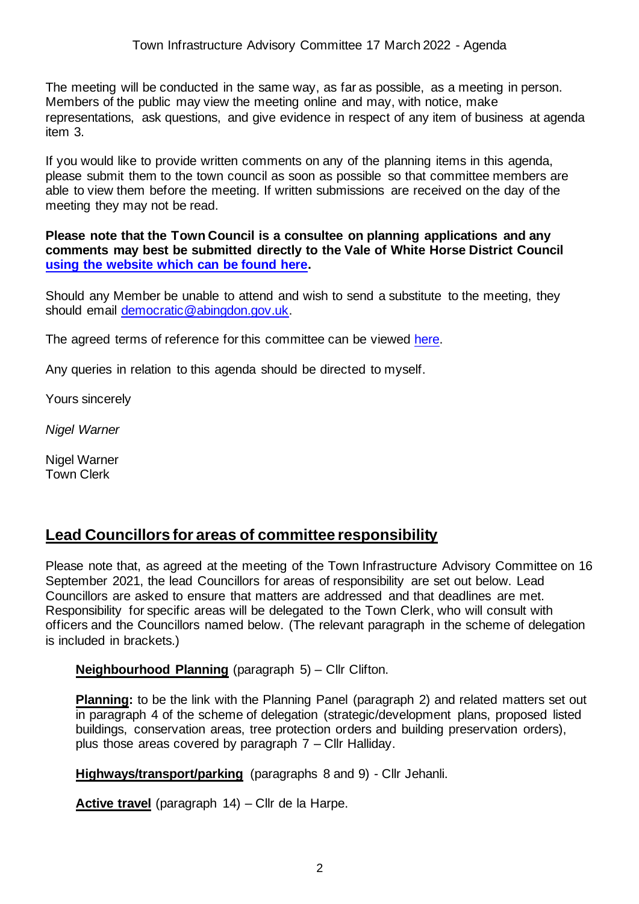The meeting will be conducted in the same way, as far as possible, as a meeting in person. Members of the public may view the meeting online and may, with notice, make representations, ask questions, and give evidence in respect of any item of business at agenda item 3.

If you would like to provide written comments on any of the planning items in this agenda, please submit them to the town council as soon as possible so that committee members are able to view them before the meeting. If written submissions are received on the day of the meeting they may not be read.

**Please note that the Town Council is a consultee on planning applications and any comments may best be submitted directly to the Vale of White Horse District Council [using the website which can be found here.](https://www.whitehorsedc.gov.uk/vale-of-white-horse-district-council/planning-and-development/comment-on-planning-applications/)**

Should any Member be unable to attend and wish to send a substitute to the meeting, they should email [democratic@abingdon.gov.uk.](mailto:democratic@abingdon.gov.uk)

The agreed terms of reference for this committee can be viewed [here.](https://www.abingdon.gov.uk/wp-content/uploads/2021/09/Terms-of-reference-Town-Infrastructure-Committee-2021.pdf)

Any queries in relation to this agenda should be directed to myself.

Yours sincerely

*Nigel Warner*

Nigel Warner Town Clerk

# **Lead Councillors for areas of committee responsibility**

Please note that, as agreed at the meeting of the Town Infrastructure Advisory Committee on 16 September 2021, the lead Councillors for areas of responsibility are set out below. Lead Councillors are asked to ensure that matters are addressed and that deadlines are met. Responsibility for specific areas will be delegated to the Town Clerk, who will consult with officers and the Councillors named below. (The relevant paragraph in the scheme of delegation is included in brackets.)

**Neighbourhood Planning** (paragraph 5) – Cllr Clifton.

**Planning:** to be the link with the Planning Panel (paragraph 2) and related matters set out in paragraph 4 of the scheme of delegation (strategic/development plans, proposed listed buildings, conservation areas, tree protection orders and building preservation orders), plus those areas covered by paragraph 7 – Cllr Halliday.

**Highways/transport/parking** (paragraphs 8 and 9) - Cllr Jehanli.

**Active travel** (paragraph 14) – Cllr de la Harpe.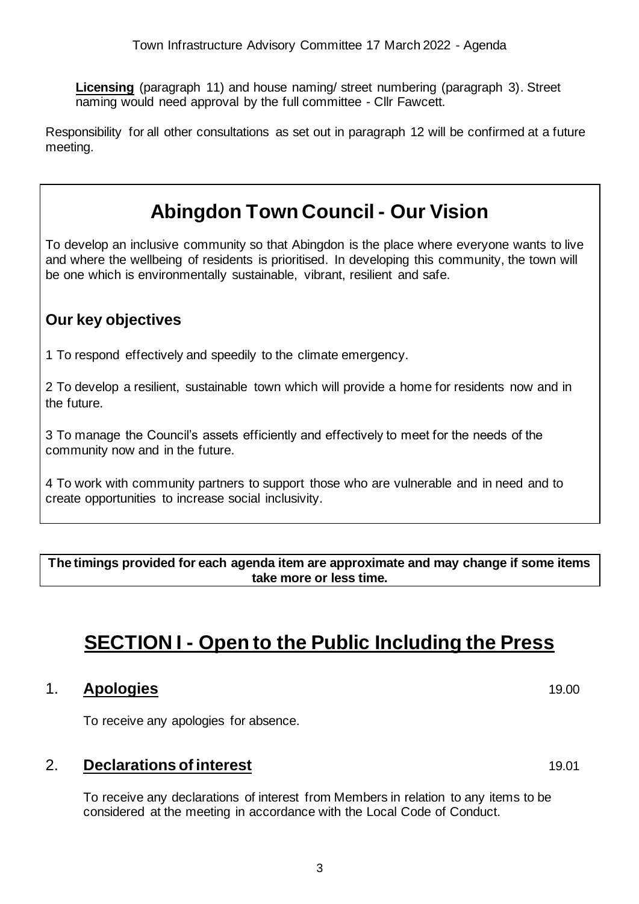**Licensing** (paragraph 11) and house naming/ street numbering (paragraph 3). Street naming would need approval by the full committee - Cllr Fawcett.

Responsibility for all other consultations as set out in paragraph 12 will be confirmed at a future meeting.

# **Abingdon Town Council - Our Vision**

To develop an inclusive community so that Abingdon is the place where everyone wants to live and where the wellbeing of residents is prioritised. In developing this community, the town will be one which is environmentally sustainable, vibrant, resilient and safe.

# **Our key objectives**

1 To respond effectively and speedily to the climate emergency.

2 To develop a resilient, sustainable town which will provide a home for residents now and in the future.

3 To manage the Council's assets efficiently and effectively to meet for the needs of the community now and in the future.

4 To work with community partners to support those who are vulnerable and in need and to create opportunities to increase social inclusivity.

**The timings provided for each agenda item are approximate and may change if some items take more or less time.**

# **SECTION I - Open to the Public Including the Press**

### 1. **Apologies** 19.00

To receive any apologies for absence.

### 2. **Declarations of interest** 19.01

To receive any declarations of interest from Members in relation to any items to be considered at the meeting in accordance with the Local Code of Conduct.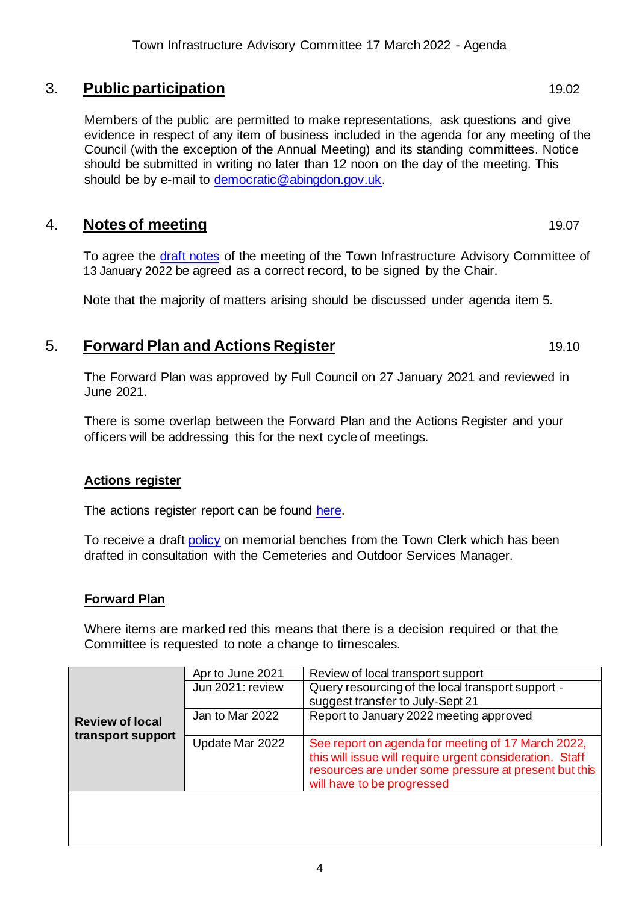# 3. **Public participation** 19.02

Members of the public are permitted to make representations, ask questions and give evidence in respect of any item of business included in the agenda for any meeting of the Council (with the exception of the Annual Meeting) and its standing committees. Notice should be submitted in writing no later than 12 noon on the day of the meeting. This should be by e-mail to [democratic@abingdon.gov.uk.](mailto:democratic@abingdon.gov.uk)

# 4. **Notes of meeting** 19.07

To agree the [draft notes](https://www.abingdon.gov.uk/wp-content/uploads/2022/01/Draft-notes-13.1.22-Town-Infrastructure-Advisory-Cee.pdf) of the meeting of the Town Infrastructure Advisory Committee of 13 January 2022 be agreed as a correct record, to be signed by the Chair.

Note that the majority of matters arising should be discussed under agenda item 5.

# **5. Forward Plan and Actions Register** 19.10

The Forward Plan was approved by Full Council on 27 January 2021 and reviewed in June 2021.

There is some overlap between the Forward Plan and the Actions Register and your officers will be addressing this for the next cycle of meetings.

#### **Actions register**

The actions register report can be found [here.](https://www.abingdon.gov.uk/wp-content/uploads/2022/03/Item-5-Actions-Register-17.3.22_Town-Infrastructure-Advisory-Cttee.pdf)

To receive a draft [policy](https://www.abingdon.gov.uk/wp-content/uploads/2022/03/Item-5-Bench-Policy-17.3.22-Town-Infrastructure-Advisory-Cttee.pdf) on memorial benches from the Town Clerk which has been drafted in consultation with the Cemeteries and Outdoor Services Manager.

#### **Forward Plan**

Where items are marked red this means that there is a decision required or that the Committee is requested to note a change to timescales.

| <b>Review of local</b><br>transport support | Apr to June 2021 | Review of local transport support                                                                                                                                                                     |
|---------------------------------------------|------------------|-------------------------------------------------------------------------------------------------------------------------------------------------------------------------------------------------------|
|                                             | Jun 2021: review | Query resourcing of the local transport support -                                                                                                                                                     |
|                                             |                  | suggest transfer to July-Sept 21                                                                                                                                                                      |
|                                             | Jan to Mar 2022  | Report to January 2022 meeting approved                                                                                                                                                               |
|                                             |                  |                                                                                                                                                                                                       |
|                                             | Update Mar 2022  | See report on agenda for meeting of 17 March 2022,<br>this will issue will require urgent consideration. Staff<br>resources are under some pressure at present but this<br>will have to be progressed |
|                                             |                  |                                                                                                                                                                                                       |
|                                             |                  |                                                                                                                                                                                                       |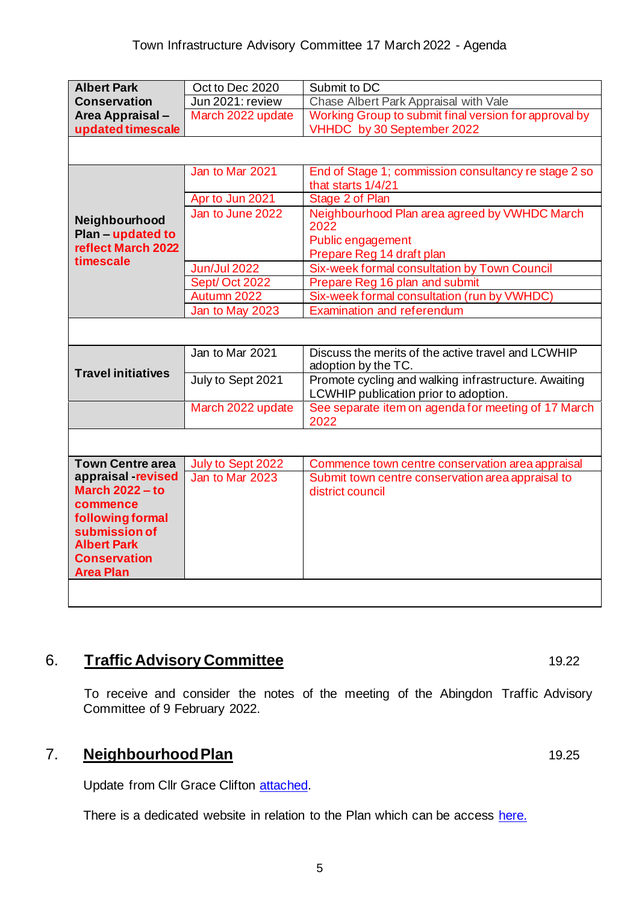| <b>Albert Park</b>                        | Oct to Dec 2020     | Submit to DC                                                                                  |  |
|-------------------------------------------|---------------------|-----------------------------------------------------------------------------------------------|--|
| <b>Conservation</b>                       | Jun 2021: review    | Chase Albert Park Appraisal with Vale                                                         |  |
| Area Appraisal-                           | March 2022 update   | Working Group to submit final version for approval by                                         |  |
| updated timescale                         |                     | VHHDC by 30 September 2022                                                                    |  |
|                                           |                     |                                                                                               |  |
|                                           | Jan to Mar 2021     | End of Stage 1; commission consultancy re stage 2 so<br>that starts 1/4/21                    |  |
|                                           | Apr to Jun 2021     | Stage 2 of Plan                                                                               |  |
| Neighbourhood<br>Plan - updated to        | Jan to June 2022    | Neighbourhood Plan area agreed by VWHDC March<br>2022                                         |  |
| reflect March 2022                        |                     | Public engagement                                                                             |  |
| timescale                                 |                     | Prepare Reg 14 draft plan                                                                     |  |
|                                           | <b>Jun/Jul 2022</b> | Six-week formal consultation by Town Council                                                  |  |
|                                           | Sept/Oct 2022       | Prepare Reg 16 plan and submit                                                                |  |
|                                           | Autumn 2022         | Six-week formal consultation (run by VWHDC)                                                   |  |
|                                           | Jan to May 2023     | <b>Examination and referendum</b>                                                             |  |
|                                           |                     |                                                                                               |  |
| <b>Travel initiatives</b>                 | Jan to Mar 2021     | Discuss the merits of the active travel and LCWHIP<br>adoption by the TC.                     |  |
|                                           | July to Sept 2021   | Promote cycling and walking infrastructure. Awaiting<br>LCWHIP publication prior to adoption. |  |
|                                           | March 2022 update   | See separate item on agenda for meeting of 17 March<br>2022                                   |  |
|                                           |                     |                                                                                               |  |
| <b>Town Centre area</b>                   | July to Sept 2022   | Commence town centre conservation area appraisal                                              |  |
| appraisal -revised                        | Jan to Mar 2023     | Submit town centre conservation area appraisal to                                             |  |
| <b>March 2022 - to</b>                    |                     | district council                                                                              |  |
| commence                                  |                     |                                                                                               |  |
| following formal                          |                     |                                                                                               |  |
| submission of                             |                     |                                                                                               |  |
| <b>Albert Park</b><br><b>Conservation</b> |                     |                                                                                               |  |
| <b>Area Plan</b>                          |                     |                                                                                               |  |
|                                           |                     |                                                                                               |  |
|                                           |                     |                                                                                               |  |

# **6.** Traffic Advisory Committee 19.22

To receive and consider the notes of the meeting of the Abingdon Traffic Advisory Committee of 9 February 2022.

# 7. **Neighbourhood Plan** 19.25

Update from Cllr Grace Clifton [attached.](https://www.abingdon.gov.uk/wp-content/uploads/2022/03/Neighbourhood-Plan-update-for-Town-Infrastructure-17-March-2022.pdf)

There is a dedicated website in relation to the Plan which can be access [here.](https://www.abingdon-neighbourhood-plan.org/)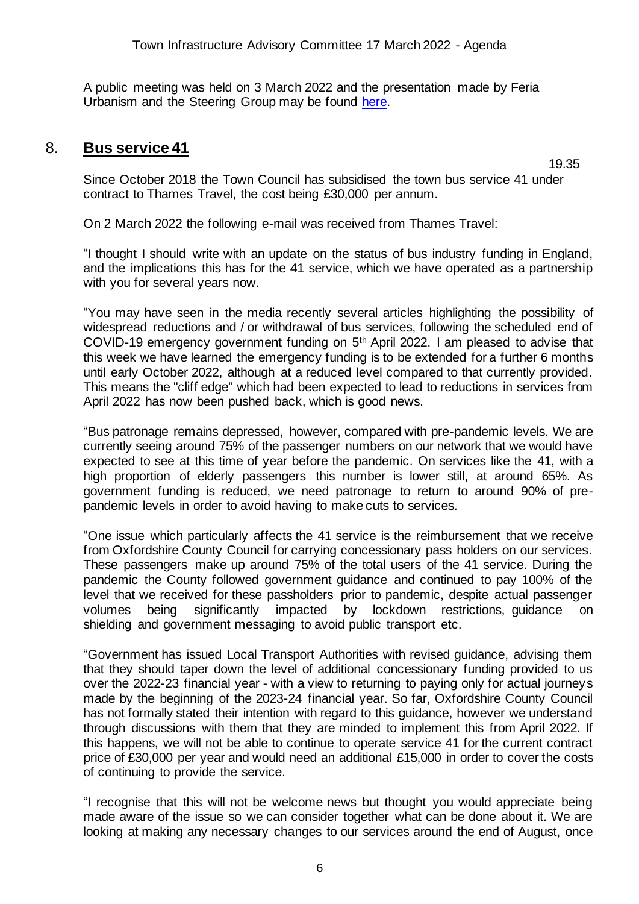A public meeting was held on 3 March 2022 and the presentation made by Feria Urbanism and the Steering Group may be found [here.](https://www.abingdon-neighbourhood-plan.org/downloads)

#### 8. **Bus service 41**

19.35

Since October 2018 the Town Council has subsidised the town bus service 41 under contract to Thames Travel, the cost being £30,000 per annum.

On 2 March 2022 the following e-mail was received from Thames Travel:

"I thought I should write with an update on the status of bus industry funding in England, and the implications this has for the 41 service, which we have operated as a partnership with you for several years now.

"You may have seen in the media recently several articles highlighting the possibility of widespread reductions and / or withdrawal of bus services, following the scheduled end of COVID-19 emergency government funding on 5th April 2022. I am pleased to advise that this week we have learned the emergency funding is to be extended for a further 6 months until early October 2022, although at a reduced level compared to that currently provided. This means the "cliff edge" which had been expected to lead to reductions in services from April 2022 has now been pushed back, which is good news.

"Bus patronage remains depressed, however, compared with pre-pandemic levels. We are currently seeing around 75% of the passenger numbers on our network that we would have expected to see at this time of year before the pandemic. On services like the 41, with a high proportion of elderly passengers this number is lower still, at around 65%. As government funding is reduced, we need patronage to return to around 90% of prepandemic levels in order to avoid having to make cuts to services.

"One issue which particularly affects the 41 service is the reimbursement that we receive from Oxfordshire County Council for carrying concessionary pass holders on our services. These passengers make up around 75% of the total users of the 41 service. During the pandemic the County followed government guidance and continued to pay 100% of the level that we received for these passholders prior to pandemic, despite actual passenger volumes being significantly impacted by lockdown restrictions, guidance on shielding and government messaging to avoid public transport etc.

"Government has issued Local Transport Authorities with revised guidance, advising them that they should taper down the level of additional concessionary funding provided to us over the 2022-23 financial year - with a view to returning to paying only for actual journeys made by the beginning of the 2023-24 financial year. So far, Oxfordshire County Council has not formally stated their intention with regard to this guidance, however we understand through discussions with them that they are minded to implement this from April 2022. If this happens, we will not be able to continue to operate service 41 for the current contract price of £30,000 per year and would need an additional £15,000 in order to cover the costs of continuing to provide the service.

"I recognise that this will not be welcome news but thought you would appreciate being made aware of the issue so we can consider together what can be done about it. We are looking at making any necessary changes to our services around the end of August, once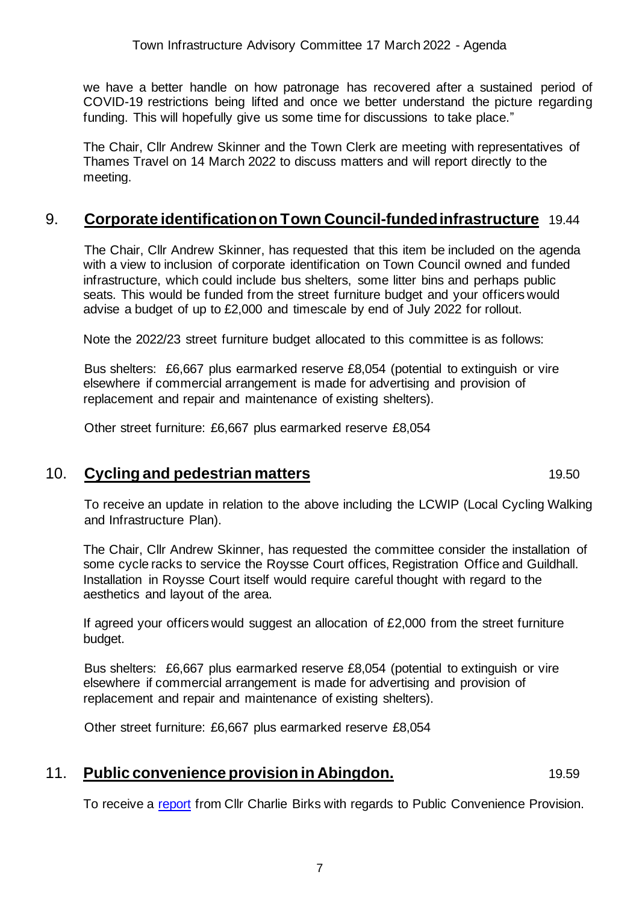Town Infrastructure Advisory Committee 17 March 2022 - Agenda

we have a better handle on how patronage has recovered after a sustained period of COVID-19 restrictions being lifted and once we better understand the picture regarding funding. This will hopefully give us some time for discussions to take place."

The Chair, Cllr Andrew Skinner and the Town Clerk are meeting with representatives of Thames Travel on 14 March 2022 to discuss matters and will report directly to the meeting.

# 9. **Corporate identification on Town Council-funded infrastructure** 19.44

The Chair, Cllr Andrew Skinner, has requested that this item be included on the agenda with a view to inclusion of corporate identification on Town Council owned and funded infrastructure, which could include bus shelters, some litter bins and perhaps public seats. This would be funded from the street furniture budget and your officers would advise a budget of up to £2,000 and timescale by end of July 2022 for rollout.

Note the 2022/23 street furniture budget allocated to this committee is as follows:

Bus shelters: £6,667 plus earmarked reserve £8,054 (potential to extinguish or vire elsewhere if commercial arrangement is made for advertising and provision of replacement and repair and maintenance of existing shelters).

Other street furniture: £6,667 plus earmarked reserve £8,054

### 10. **Cycling and pedestrian matters** 19.50

To receive an update in relation to the above including the LCWIP (Local Cycling Walking and Infrastructure Plan).

The Chair, Cllr Andrew Skinner, has requested the committee consider the installation of some cycle racks to service the Roysse Court offices, Registration Office and Guildhall. Installation in Roysse Court itself would require careful thought with regard to the aesthetics and layout of the area.

If agreed your officers would suggest an allocation of £2,000 from the street furniture budget.

Bus shelters: £6,667 plus earmarked reserve £8,054 (potential to extinguish or vire elsewhere if commercial arrangement is made for advertising and provision of replacement and repair and maintenance of existing shelters).

Other street furniture: £6,667 plus earmarked reserve £8,054

### 11. **Public convenience provision in Abingdon.** 19.59

To receive a [report](https://www.abingdon.gov.uk/wp-content/uploads/2022/03/Item-11-Abingdon-Public-Conveniences-17.3.22-Town-Infrastructure-Advisory-Cttee.pdf) from Cllr Charlie Birks with regards to Public Convenience Provision.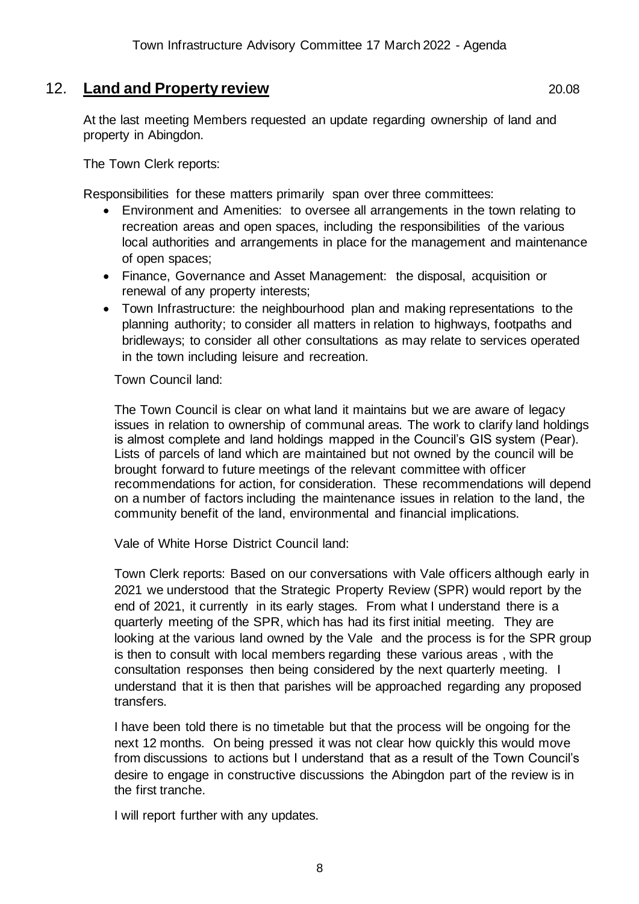### 12. **Land and Property review** 20.08

At the last meeting Members requested an update regarding ownership of land and property in Abingdon.

The Town Clerk reports:

Responsibilities for these matters primarily span over three committees:

- Environment and Amenities: to oversee all arrangements in the town relating to recreation areas and open spaces, including the responsibilities of the various local authorities and arrangements in place for the management and maintenance of open spaces;
- Finance, Governance and Asset Management: the disposal, acquisition or renewal of any property interests;
- Town Infrastructure: the neighbourhood plan and making representations to the planning authority; to consider all matters in relation to highways, footpaths and bridleways; to consider all other consultations as may relate to services operated in the town including leisure and recreation.

Town Council land:

The Town Council is clear on what land it maintains but we are aware of legacy issues in relation to ownership of communal areas. The work to clarify land holdings is almost complete and land holdings mapped in the Council's GIS system (Pear). Lists of parcels of land which are maintained but not owned by the council will be brought forward to future meetings of the relevant committee with officer recommendations for action, for consideration. These recommendations will depend on a number of factors including the maintenance issues in relation to the land, the community benefit of the land, environmental and financial implications.

Vale of White Horse District Council land:

Town Clerk reports: Based on our conversations with Vale officers although early in 2021 we understood that the Strategic Property Review (SPR) would report by the end of 2021, it currently in its early stages. From what I understand there is a quarterly meeting of the SPR, which has had its first initial meeting. They are looking at the various land owned by the Vale and the process is for the SPR group is then to consult with local members regarding these various areas , with the consultation responses then being considered by the next quarterly meeting. I understand that it is then that parishes will be approached regarding any proposed transfers.

I have been told there is no timetable but that the process will be ongoing for the next 12 months. On being pressed it was not clear how quickly this would move from discussions to actions but I understand that as a result of the Town Council's desire to engage in constructive discussions the Abingdon part of the review is in the first tranche.

I will report further with any updates.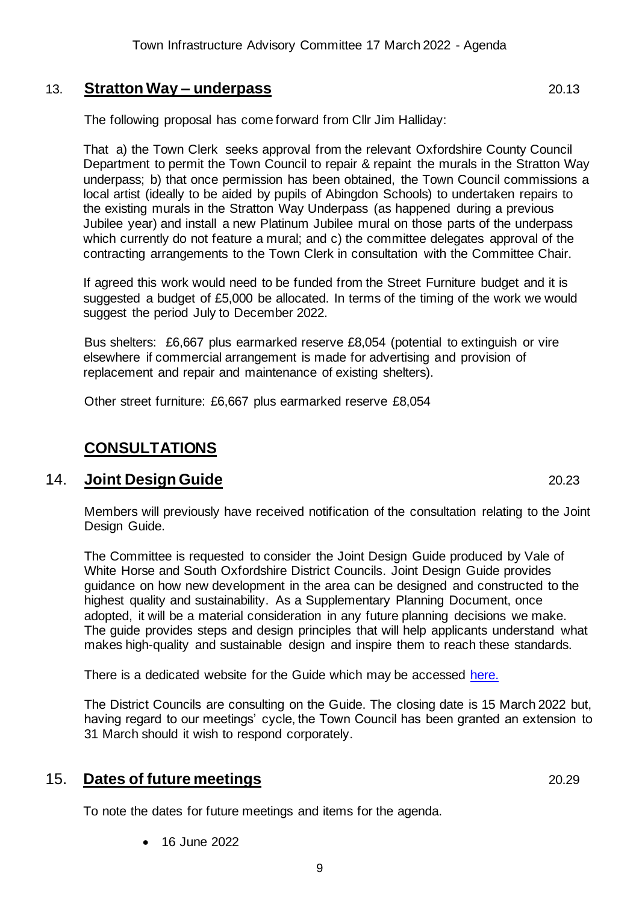# 13. **Stratton Way – underpass** 20.13

The following proposal has come forward from Cllr Jim Halliday:

That a) the Town Clerk seeks approval from the relevant Oxfordshire County Council Department to permit the Town Council to repair & repaint the murals in the Stratton Way underpass; b) that once permission has been obtained, the Town Council commissions a local artist (ideally to be aided by pupils of Abingdon Schools) to undertaken repairs to the existing murals in the Stratton Way Underpass (as happened during a previous Jubilee year) and install a new Platinum Jubilee mural on those parts of the underpass which currently do not feature a mural; and c) the committee delegates approval of the contracting arrangements to the Town Clerk in consultation with the Committee Chair.

If agreed this work would need to be funded from the Street Furniture budget and it is suggested a budget of £5,000 be allocated. In terms of the timing of the work we would suggest the period July to December 2022.

Bus shelters: £6,667 plus earmarked reserve £8,054 (potential to extinguish or vire elsewhere if commercial arrangement is made for advertising and provision of replacement and repair and maintenance of existing shelters).

Other street furniture: £6,667 plus earmarked reserve £8,054

# **CONSULTATIONS**

### 14. **Joint Design Guide** 20.23

Members will previously have received notification of the consultation relating to the Joint Design Guide.

The Committee is requested to consider the Joint Design Guide produced by Vale of White Horse and South Oxfordshire District Councils. Joint Design Guide provides guidance on how new development in the area can be designed and constructed to the highest quality and sustainability. As a Supplementary Planning Document, once adopted, it will be a material consideration in any future planning decisions we make. The guide provides steps and design principles that will help applicants understand what makes high-quality and sustainable design and inspire them to reach these standards.

There is a dedicated website for the Guide which may be accessed [here.](https://data.southoxon.gov.uk/JDG/Guide.html)

The District Councils are consulting on the Guide. The closing date is 15 March 2022 but, having regard to our meetings' cycle, the Town Council has been granted an extension to 31 March should it wish to respond corporately.

# 15. **Dates of future meetings** 20.29

To note the dates for future meetings and items for the agenda.

• 16 June 2022